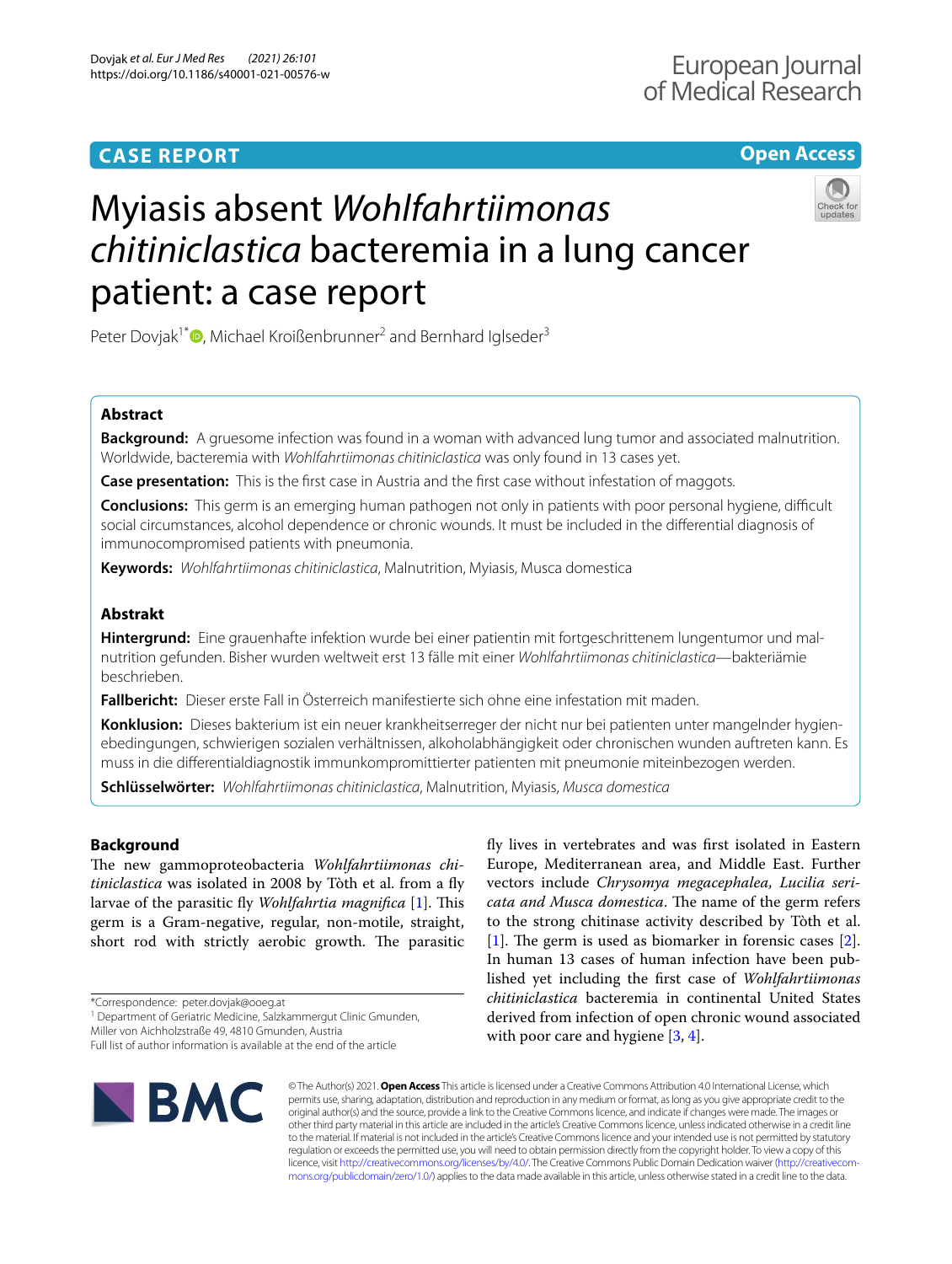# **CASE REPORT**

# **Open Access**

# Myiasis absent *Wohlfahrtiimonas chitiniclastica* bacteremia in a lung cancer patient: a case report



Peter Dovjak<sup>1\*</sup><sup>O</sup>[,](http://orcid.org/0000-0003-4667-8805) Michael Kroißenbrunner<sup>2</sup> and Bernhard Iglseder<sup>3</sup>

# **Abstract**

**Background:** A gruesome infection was found in a woman with advanced lung tumor and associated malnutrition. Worldwide, bacteremia with *Wohlfahrtiimonas chitiniclastica* was only found in 13 cases yet.

**Case presentation:** This is the frst case in Austria and the frst case without infestation of maggots.

**Conclusions:** This germ is an emerging human pathogen not only in patients with poor personal hygiene, difficult social circumstances, alcohol dependence or chronic wounds. It must be included in the diferential diagnosis of immunocompromised patients with pneumonia.

**Keywords:** *Wohlfahrtiimonas chitiniclastica*, Malnutrition, Myiasis, Musca domestica

# **Abstrakt**

**Hintergrund:** Eine grauenhafte infektion wurde bei einer patientin mit fortgeschrittenem lungentumor und mal‑ nutrition gefunden. Bisher wurden weltweit erst 13 fälle mit einer *Wohlfahrtiimonas chitiniclastica*—bakteriämie beschrieben.

**Fallbericht:** Dieser erste Fall in Österreich manifestierte sich ohne eine infestation mit maden.

**Konklusion:** Dieses bakterium ist ein neuer krankheitserreger der nicht nur bei patienten unter mangelnder hygien‑ ebedingungen, schwierigen sozialen verhältnissen, alkoholabhängigkeit oder chronischen wunden auftreten kann. Es muss in die diferentialdiagnostik immunkompromittierter patienten mit pneumonie miteinbezogen werden.

**Schlüsselwörter:** *Wohlfahrtiimonas chitiniclastica*, Malnutrition, Myiasis, *Musca domestica*

## **Background**

The new gammoproteobacteria Wohlfahrtiimonas chi*tiniclastica* was isolated in 2008 by Tòth et al. from a fy larvae of the parasitic fly *Wohlfahrtia magnifica* [[1\]](#page-3-0). This germ is a Gram-negative, regular, non-motile, straight, short rod with strictly aerobic growth. The parasitic

\*Correspondence: peter.dovjak@ooeg.at

<sup>1</sup> Department of Geriatric Medicine, Salzkammergut Clinic Gmunden,

Miller von Aichholzstraße 49, 4810 Gmunden, Austria

Full list of author information is available at the end of the article



fy lives in vertebrates and was frst isolated in Eastern Europe, Mediterranean area, and Middle East. Further vectors include *Chrysomya megacephalea, Lucilia sericata and Musca domestica*. The name of the germ refers to the strong chitinase activity described by Tòth et al.  $[1]$  $[1]$ . The germ is used as biomarker in forensic cases  $[2]$  $[2]$ . In human 13 cases of human infection have been published yet including the frst case of *Wohlfahrtiimonas chitiniclastica* bacteremia in continental United States derived from infection of open chronic wound associated with poor care and hygiene [\[3](#page-3-2), [4](#page-3-3)].

© The Author(s) 2021. **Open Access** This article is licensed under a Creative Commons Attribution 4.0 International License, which permits use, sharing, adaptation, distribution and reproduction in any medium or format, as long as you give appropriate credit to the original author(s) and the source, provide a link to the Creative Commons licence, and indicate if changes were made. The images or other third party material in this article are included in the article's Creative Commons licence, unless indicated otherwise in a credit line to the material. If material is not included in the article's Creative Commons licence and your intended use is not permitted by statutory regulation or exceeds the permitted use, you will need to obtain permission directly from the copyright holder. To view a copy of this licence, visit [http://creativecommons.org/licenses/by/4.0/.](http://creativecommons.org/licenses/by/4.0/) The Creative Commons Public Domain Dedication waiver (http://creativecom[mons.org/publicdomain/zero/1.0/\)](http://creativecommons.org/publicdomain/zero/1.0/) applies to the data made available in this article, unless otherwise stated in a credit line to the data.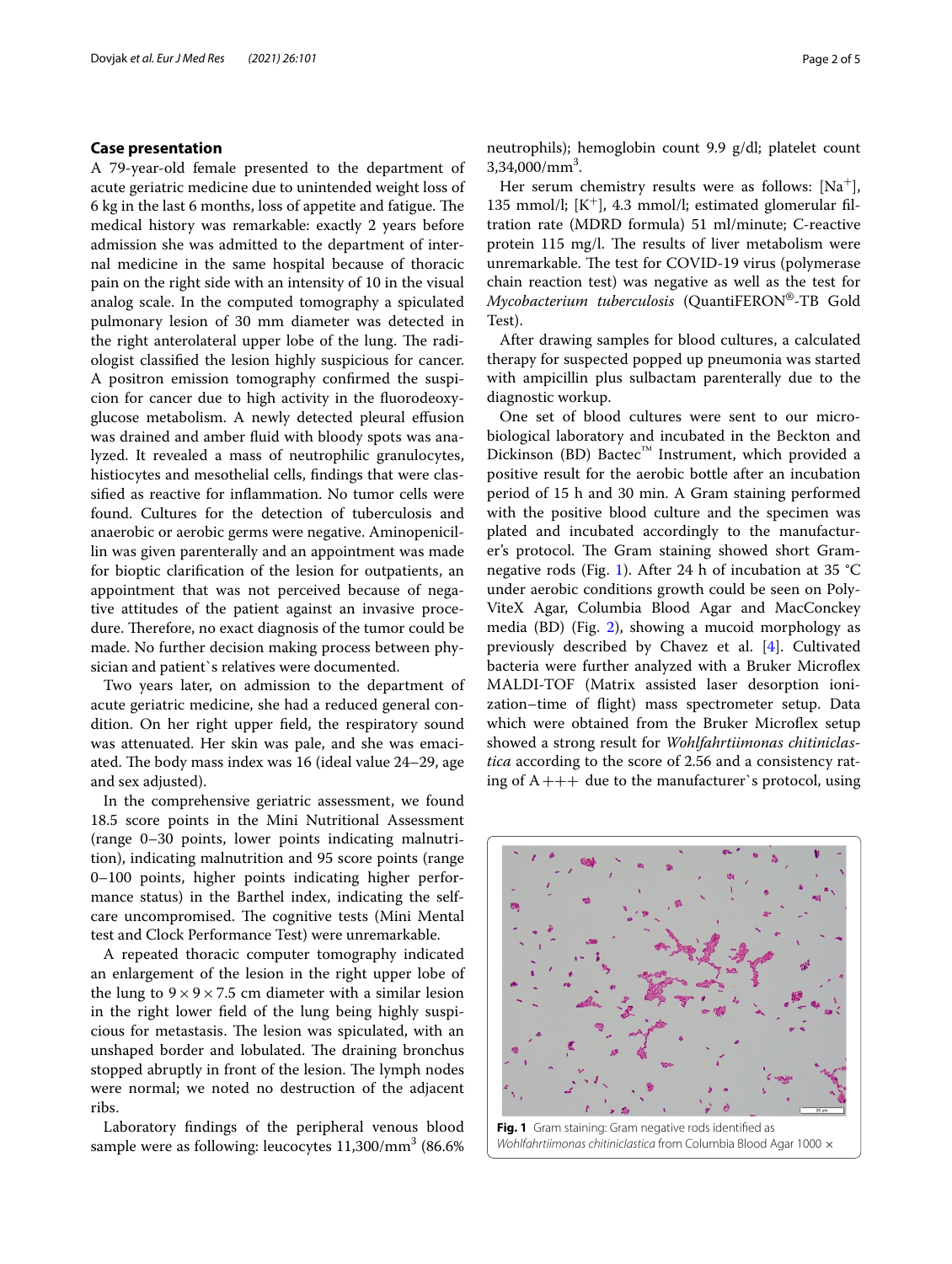#### **Case presentation**

A 79-year-old female presented to the department of acute geriatric medicine due to unintended weight loss of 6 kg in the last 6 months, loss of appetite and fatigue. The medical history was remarkable: exactly 2 years before admission she was admitted to the department of internal medicine in the same hospital because of thoracic pain on the right side with an intensity of 10 in the visual analog scale. In the computed tomography a spiculated pulmonary lesion of 30 mm diameter was detected in the right anterolateral upper lobe of the lung. The radiologist classifed the lesion highly suspicious for cancer. A positron emission tomography confrmed the suspicion for cancer due to high activity in the fuorodeoxyglucose metabolism. A newly detected pleural efusion was drained and amber fuid with bloody spots was analyzed. It revealed a mass of neutrophilic granulocytes, histiocytes and mesothelial cells, findings that were classifed as reactive for infammation. No tumor cells were found. Cultures for the detection of tuberculosis and anaerobic or aerobic germs were negative. Aminopenicillin was given parenterally and an appointment was made for bioptic clarifcation of the lesion for outpatients, an appointment that was not perceived because of negative attitudes of the patient against an invasive procedure. Therefore, no exact diagnosis of the tumor could be made. No further decision making process between physician and patient`s relatives were documented.

Two years later, on admission to the department of acute geriatric medicine, she had a reduced general condition. On her right upper feld, the respiratory sound was attenuated. Her skin was pale, and she was emaciated. The body mass index was 16 (ideal value 24–29, age and sex adjusted).

In the comprehensive geriatric assessment, we found 18.5 score points in the Mini Nutritional Assessment (range 0–30 points, lower points indicating malnutrition), indicating malnutrition and 95 score points (range 0–100 points, higher points indicating higher performance status) in the Barthel index, indicating the selfcare uncompromised. The cognitive tests (Mini Mental test and Clock Performance Test) were unremarkable.

A repeated thoracic computer tomography indicated an enlargement of the lesion in the right upper lobe of the lung to  $9 \times 9 \times 7.5$  cm diameter with a similar lesion in the right lower feld of the lung being highly suspicious for metastasis. The lesion was spiculated, with an unshaped border and lobulated. The draining bronchus stopped abruptly in front of the lesion. The lymph nodes were normal; we noted no destruction of the adjacent ribs.

Laboratory fndings of the peripheral venous blood sample were as following: leucocytes  $11,\!300/\mathrm{mm}^3$  (86.6%) neutrophils); hemoglobin count 9.9 g/dl; platelet count  $3,34,000/mm^3$ .

Her serum chemistry results were as follows:  $[Na^+]$ , 135 mmol/l;  $[K^+]$ , 4.3 mmol/l; estimated glomerular filtration rate (MDRD formula) 51 ml/minute; C-reactive protein 115 mg/l. The results of liver metabolism were unremarkable. The test for COVID-19 virus (polymerase chain reaction test) was negative as well as the test for *Mycobacterium tuberculosis* (QuantiFERON®-TB Gold Test).

After drawing samples for blood cultures, a calculated therapy for suspected popped up pneumonia was started with ampicillin plus sulbactam parenterally due to the diagnostic workup.

One set of blood cultures were sent to our microbiological laboratory and incubated in the Beckton and Dickinson (BD) Bactec<sup>™</sup> Instrument, which provided a positive result for the aerobic bottle after an incubation period of 15 h and 30 min. A Gram staining performed with the positive blood culture and the specimen was plated and incubated accordingly to the manufacturer's protocol. The Gram staining showed short Gramnegative rods (Fig. [1](#page-1-0)). After 24 h of incubation at 35 °C under aerobic conditions growth could be seen on Poly-ViteX Agar, Columbia Blood Agar and MacConckey media (BD) (Fig. [2\)](#page-2-0), showing a mucoid morphology as previously described by Chavez et al. [\[4](#page-3-3)]. Cultivated bacteria were further analyzed with a Bruker Microflex MALDI-TOF (Matrix assisted laser desorption ionization–time of fight) mass spectrometer setup. Data which were obtained from the Bruker Microflex setup showed a strong result for *Wohlfahrtiimonas chitiniclastica* according to the score of 2.56 and a consistency rating of  $A+++$  due to the manufacturer's protocol, using

<span id="page-1-0"></span>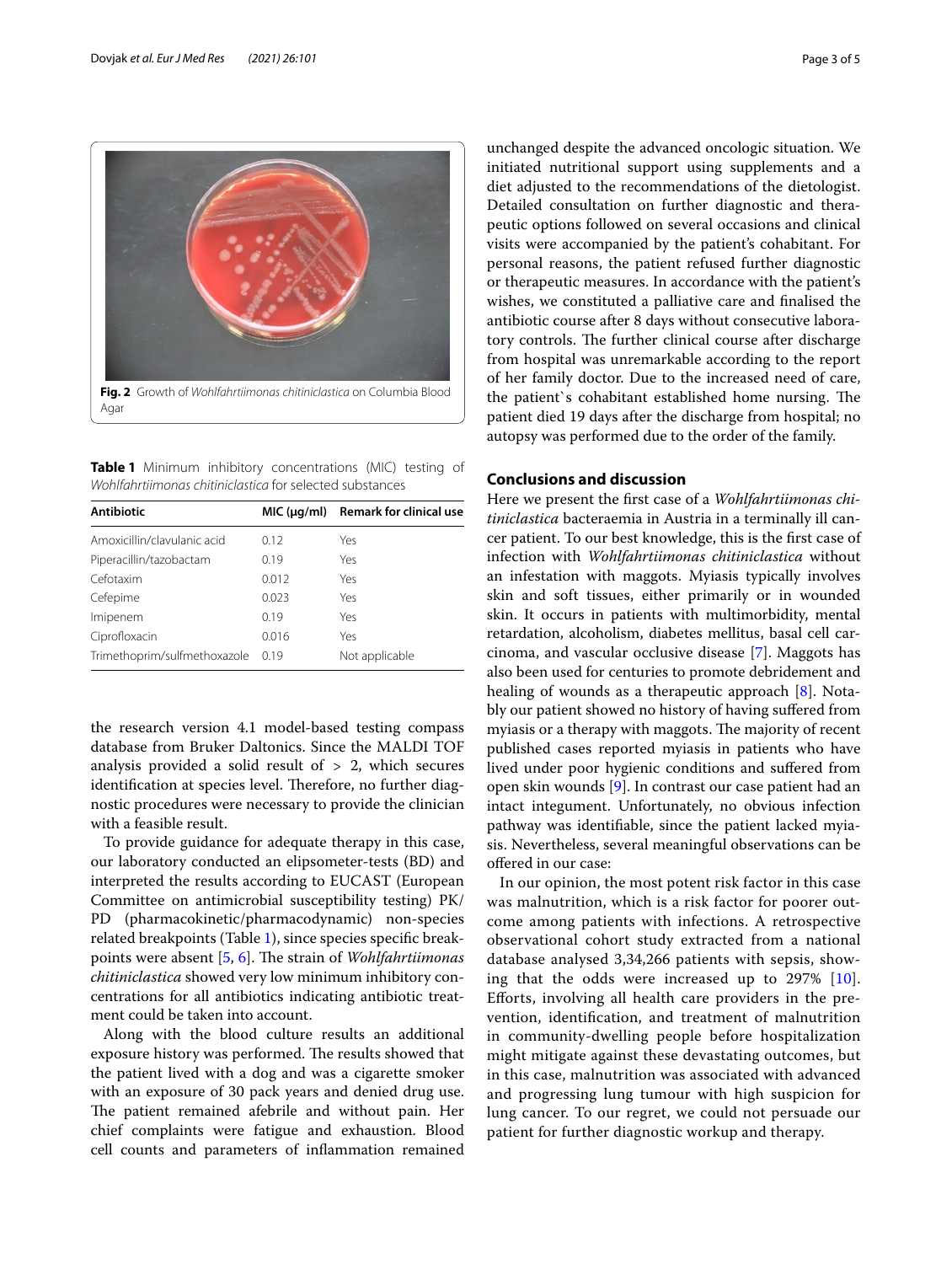

<span id="page-2-1"></span><span id="page-2-0"></span>**Table 1** Minimum inhibitory concentrations (MIC) testing of *Wohlfahrtiimonas chitiniclastica* for selected substances

| <b>Antibiotic</b>            |       | $MIC (uq/ml)$ Remark for clinical use |
|------------------------------|-------|---------------------------------------|
| Amoxicillin/clavulanic acid  | 0.12  | Yes                                   |
| Piperacillin/tazobactam      | 0.19  | Yes                                   |
| Cefotaxim                    | 0.012 | Yes                                   |
| Cefepime                     | 0.023 | Yes                                   |
| Imipenem                     | 0.19  | Yes                                   |
| Ciprofloxacin                | 0.016 | Yes                                   |
| Trimethoprim/sulfmethoxazole | 0.19  | Not applicable                        |

the research version 4.1 model-based testing compass database from Bruker Daltonics. Since the MALDI TOF analysis provided a solid result of  $> 2$ , which secures identification at species level. Therefore, no further diagnostic procedures were necessary to provide the clinician with a feasible result.

To provide guidance for adequate therapy in this case, our laboratory conducted an elipsometer-tests (BD) and interpreted the results according to EUCAST (European Committee on antimicrobial susceptibility testing) PK/ PD (pharmacokinetic/pharmacodynamic) non-species related breakpoints (Table [1](#page-2-1)), since species specifc break-points were absent [\[5](#page-3-4), [6](#page-3-5)]. The strain of *Wohlfahrtiimonas chitiniclastica* showed very low minimum inhibitory concentrations for all antibiotics indicating antibiotic treatment could be taken into account.

Along with the blood culture results an additional exposure history was performed. The results showed that the patient lived with a dog and was a cigarette smoker with an exposure of 30 pack years and denied drug use. The patient remained afebrile and without pain. Her chief complaints were fatigue and exhaustion. Blood cell counts and parameters of infammation remained unchanged despite the advanced oncologic situation. We initiated nutritional support using supplements and a diet adjusted to the recommendations of the dietologist. Detailed consultation on further diagnostic and therapeutic options followed on several occasions and clinical visits were accompanied by the patient's cohabitant. For personal reasons, the patient refused further diagnostic or therapeutic measures. In accordance with the patient's wishes, we constituted a palliative care and fnalised the antibiotic course after 8 days without consecutive laboratory controls. The further clinical course after discharge from hospital was unremarkable according to the report of her family doctor. Due to the increased need of care, the patient's cohabitant established home nursing. The patient died 19 days after the discharge from hospital; no autopsy was performed due to the order of the family.

## **Conclusions and discussion**

Here we present the frst case of a *Wohlfahrtiimonas chitiniclastica* bacteraemia in Austria in a terminally ill cancer patient. To our best knowledge, this is the frst case of infection with *Wohlfahrtiimonas chitiniclastica* without an infestation with maggots. Myiasis typically involves skin and soft tissues, either primarily or in wounded skin. It occurs in patients with multimorbidity, mental retardation, alcoholism, diabetes mellitus, basal cell carcinoma, and vascular occlusive disease [[7\]](#page-3-6). Maggots has also been used for centuries to promote debridement and healing of wounds as a therapeutic approach [[8\]](#page-3-7). Notably our patient showed no history of having sufered from myiasis or a therapy with maggots. The majority of recent published cases reported myiasis in patients who have lived under poor hygienic conditions and sufered from open skin wounds [\[9](#page-3-8)]. In contrast our case patient had an intact integument. Unfortunately, no obvious infection pathway was identifable, since the patient lacked myiasis. Nevertheless, several meaningful observations can be ofered in our case:

In our opinion, the most potent risk factor in this case was malnutrition, which is a risk factor for poorer outcome among patients with infections. A retrospective observational cohort study extracted from a national database analysed 3,34,266 patients with sepsis, showing that the odds were increased up to 297% [[10](#page-3-9)]. Eforts, involving all health care providers in the prevention, identifcation, and treatment of malnutrition in community-dwelling people before hospitalization might mitigate against these devastating outcomes, but in this case, malnutrition was associated with advanced and progressing lung tumour with high suspicion for lung cancer. To our regret, we could not persuade our patient for further diagnostic workup and therapy.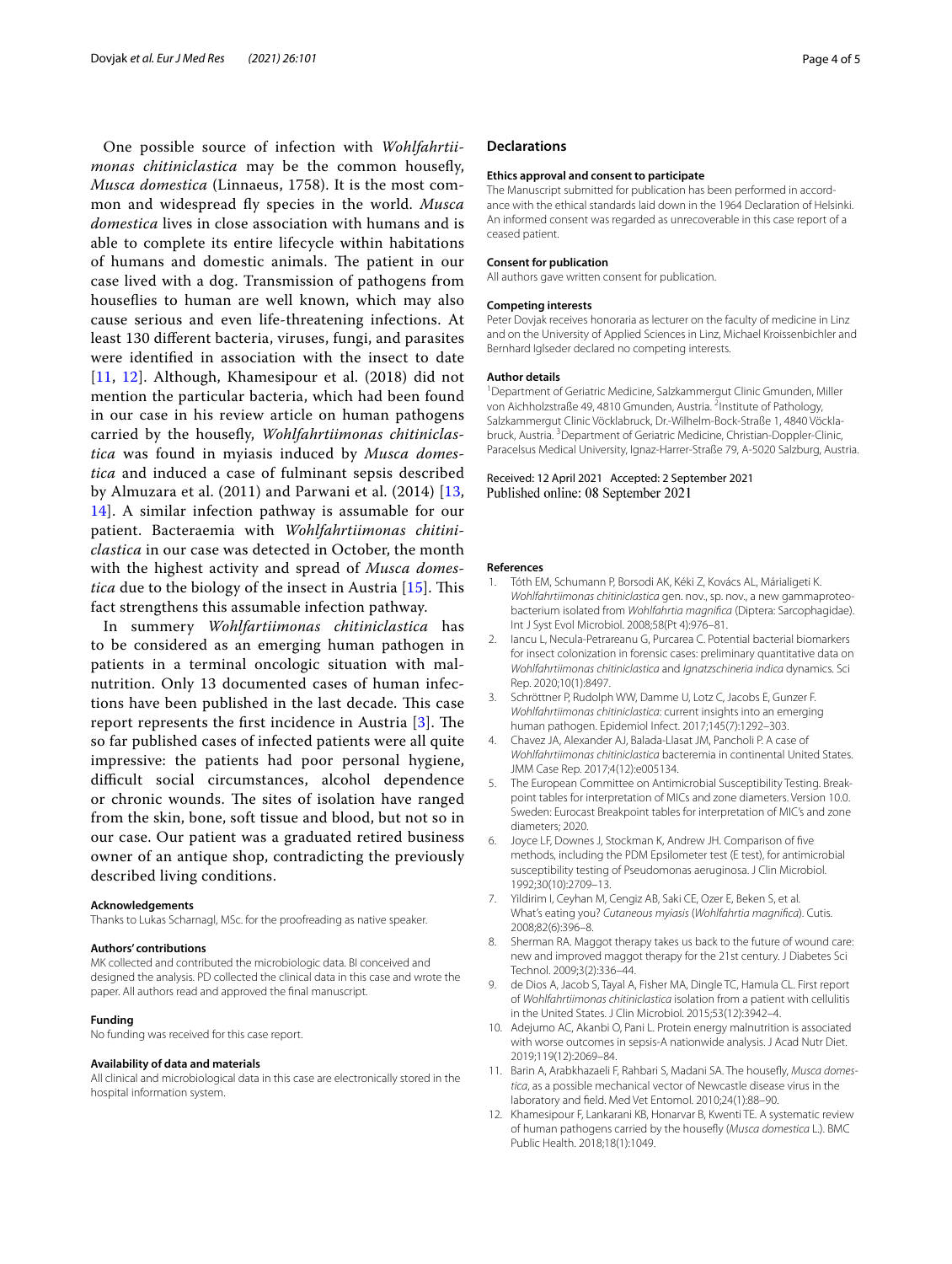One possible source of infection with *Wohlfahrtiimonas chitiniclastica* may be the common housefy, *Musca domestica* (Linnaeus, 1758). It is the most common and widespread fy species in the world. *Musca domestica* lives in close association with humans and is able to complete its entire lifecycle within habitations of humans and domestic animals. The patient in our case lived with a dog. Transmission of pathogens from housefies to human are well known, which may also cause serious and even life-threatening infections. At least 130 diferent bacteria, viruses, fungi, and parasites were identifed in association with the insect to date [[11](#page-3-10), [12](#page-3-11)]. Although, Khamesipour et al. (2018) did not mention the particular bacteria, which had been found in our case in his review article on human pathogens carried by the housefy, *Wohlfahrtiimonas chitiniclastica* was found in myiasis induced by *Musca domestica* and induced a case of fulminant sepsis described by Almuzara et al. (2011) and Parwani et al. (2014) [\[13](#page-4-0), [14\]](#page-4-1). A similar infection pathway is assumable for our patient. Bacteraemia with *Wohlfahrtiimonas chitiniclastica* in our case was detected in October, the month with the highest activity and spread of *Musca domestica* due to the biology of the insect in Austria [[15\]](#page-4-2). This fact strengthens this assumable infection pathway.

In summery *Wohlfartiimonas chitiniclastica* has to be considered as an emerging human pathogen in patients in a terminal oncologic situation with malnutrition. Only 13 documented cases of human infections have been published in the last decade. This case report represents the first incidence in Austria  $[3]$  $[3]$ . The so far published cases of infected patients were all quite impressive: the patients had poor personal hygiene, difficult social circumstances, alcohol dependence or chronic wounds. The sites of isolation have ranged from the skin, bone, soft tissue and blood, but not so in our case. Our patient was a graduated retired business owner of an antique shop, contradicting the previously described living conditions.

#### **Acknowledgements**

Thanks to Lukas Scharnagl, MSc. for the proofreading as native speaker.

#### **Authors' contributions**

MK collected and contributed the microbiologic data. BI conceived and designed the analysis. PD collected the clinical data in this case and wrote the paper. All authors read and approved the fnal manuscript.

#### **Funding**

No funding was received for this case report.

#### **Availability of data and materials**

All clinical and microbiological data in this case are electronically stored in the hospital information system.

#### **Declarations**

#### **Ethics approval and consent to participate**

The Manuscript submitted for publication has been performed in accordance with the ethical standards laid down in the 1964 Declaration of Helsinki. An informed consent was regarded as unrecoverable in this case report of a ceased patient.

#### **Consent for publication**

All authors gave written consent for publication.

#### **Competing interests**

Peter Dovjak receives honoraria as lecturer on the faculty of medicine in Linz and on the University of Applied Sciences in Linz, Michael Kroissenbichler and Bernhard Iglseder declared no competing interests.

#### **Author details**

<sup>1</sup> Department of Geriatric Medicine, Salzkammergut Clinic Gmunden, Miller von Aichholzstraße 49, 4810 Gmunden, Austria. <sup>2</sup>Institute of Pathology, Salzkammergut Clinic Vöcklabruck, Dr.-Wilhelm-Bock-Straße 1, 4840 Vöcklabruck, Austria. <sup>3</sup> Department of Geriatric Medicine, Christian-Doppler-Clinic, Paracelsus Medical University, Ignaz-Harrer-Straße 79, A-5020 Salzburg, Austria.

Received: 12 April 2021 Accepted: 2 September 2021 Published online: 08 September 2021

#### **References**

- <span id="page-3-0"></span>1. Tóth EM, Schumann P, Borsodi AK, Kéki Z, Kovács AL, Márialigeti K. *Wohlfahrtiimonas chitiniclastica* gen. nov., sp. nov., a new gammaproteo‑ bacterium isolated from *Wohlfahrtia magnifca* (Diptera: Sarcophagidae). Int J Syst Evol Microbiol. 2008;58(Pt 4):976–81.
- <span id="page-3-1"></span>2. Iancu L, Necula-Petrareanu G, Purcarea C. Potential bacterial biomarkers for insect colonization in forensic cases: preliminary quantitative data on *Wohlfahrtiimonas chitiniclastica* and *Ignatzschineria indica* dynamics. Sci Rep. 2020;10(1):8497.
- <span id="page-3-2"></span>3. Schröttner P, Rudolph WW, Damme U, Lotz C, Jacobs E, Gunzer F. *Wohlfahrtiimonas chitiniclastica*: current insights into an emerging human pathogen. Epidemiol Infect. 2017;145(7):1292–303.
- <span id="page-3-3"></span>4. Chavez JA, Alexander AJ, Balada-Llasat JM, Pancholi P. A case of *Wohlfahrtiimonas chitiniclastica* bacteremia in continental United States. JMM Case Rep. 2017;4(12):e005134.
- <span id="page-3-4"></span>5. The European Committee on Antimicrobial Susceptibility Testing. Breakpoint tables for interpretation of MICs and zone diameters. Version 10.0. Sweden: Eurocast Breakpoint tables for interpretation of MIC's and zone diameters; 2020.
- <span id="page-3-5"></span>6. Joyce LF, Downes J, Stockman K, Andrew JH. Comparison of fve methods, including the PDM Epsilometer test (E test), for antimicrobial susceptibility testing of Pseudomonas aeruginosa. J Clin Microbiol. 1992;30(10):2709–13.
- <span id="page-3-6"></span>7. Yildirim I, Ceyhan M, Cengiz AB, Saki CE, Ozer E, Beken S, et al. What's eating you? *Cutaneous myiasis* (*Wohlfahrtia magnifca*). Cutis. 2008;82(6):396–8.
- <span id="page-3-7"></span>8. Sherman RA. Maggot therapy takes us back to the future of wound care: new and improved maggot therapy for the 21st century. J Diabetes Sci Technol. 2009;3(2):336–44.
- <span id="page-3-8"></span>9. de Dios A, Jacob S, Tayal A, Fisher MA, Dingle TC, Hamula CL. First report of *Wohlfahrtiimonas chitiniclastica* isolation from a patient with cellulitis in the United States. J Clin Microbiol. 2015;53(12):3942–4.
- <span id="page-3-9"></span>10. Adejumo AC, Akanbi O, Pani L. Protein energy malnutrition is associated with worse outcomes in sepsis-A nationwide analysis. J Acad Nutr Diet. 2019;119(12):2069–84.
- <span id="page-3-10"></span>11. Barin A, Arabkhazaeli F, Rahbari S, Madani SA. The housefy, *Musca domestica*, as a possible mechanical vector of Newcastle disease virus in the laboratory and feld. Med Vet Entomol. 2010;24(1):88–90.
- <span id="page-3-11"></span>12. Khamesipour F, Lankarani KB, Honarvar B, Kwenti TE. A systematic review of human pathogens carried by the housefy (*Musca domestica* L.). BMC Public Health. 2018;18(1):1049.